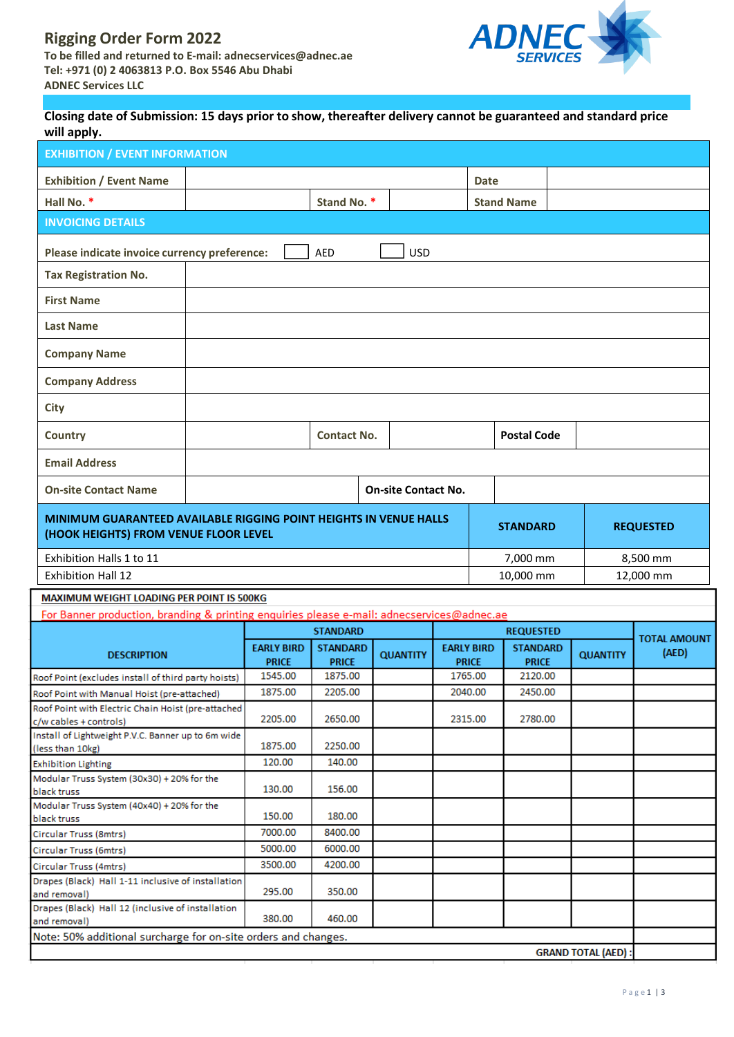# **Rigging Order Form 2022 To be filled and returned to E-mail: [adnecservices@adnec.ae](mailto:adnecservices@adnec.ae) Tel: +971 (0) 2 4063813 P.O. Box 5546 Abu Dhabi ADNEC Services LLC**



## Closing date of Submission: 15 days prior to show, thereafter delivery cannot be guaranteed and standard price **will apply.**

| ~rr. <b>.</b> .                                                                            |                                   |                                 |                            |                                   |                   |                                 |                 |                     |
|--------------------------------------------------------------------------------------------|-----------------------------------|---------------------------------|----------------------------|-----------------------------------|-------------------|---------------------------------|-----------------|---------------------|
| <b>EXHIBITION / EVENT INFORMATION</b>                                                      |                                   |                                 |                            |                                   |                   |                                 |                 |                     |
| <b>Exhibition / Event Name</b>                                                             |                                   |                                 |                            |                                   | <b>Date</b>       |                                 |                 |                     |
| Hall No. *                                                                                 | Stand No. *                       |                                 |                            |                                   | <b>Stand Name</b> |                                 |                 |                     |
| <b>INVOICING DETAILS</b>                                                                   |                                   |                                 |                            |                                   |                   |                                 |                 |                     |
|                                                                                            |                                   |                                 |                            |                                   |                   |                                 |                 |                     |
| Please indicate invoice currency preference:<br><b>AED</b><br><b>USD</b>                   |                                   |                                 |                            |                                   |                   |                                 |                 |                     |
| <b>Tax Registration No.</b>                                                                |                                   |                                 |                            |                                   |                   |                                 |                 |                     |
| <b>First Name</b>                                                                          |                                   |                                 |                            |                                   |                   |                                 |                 |                     |
| <b>Last Name</b>                                                                           |                                   |                                 |                            |                                   |                   |                                 |                 |                     |
|                                                                                            |                                   |                                 |                            |                                   |                   |                                 |                 |                     |
| <b>Company Name</b>                                                                        |                                   |                                 |                            |                                   |                   |                                 |                 |                     |
| <b>Company Address</b>                                                                     |                                   |                                 |                            |                                   |                   |                                 |                 |                     |
|                                                                                            |                                   |                                 |                            |                                   |                   |                                 |                 |                     |
| <b>City</b>                                                                                |                                   |                                 |                            |                                   |                   |                                 |                 |                     |
| <b>Country</b>                                                                             |                                   | <b>Contact No.</b>              |                            |                                   |                   | <b>Postal Code</b>              |                 |                     |
| <b>Email Address</b>                                                                       |                                   |                                 |                            |                                   |                   |                                 |                 |                     |
|                                                                                            |                                   |                                 |                            |                                   |                   |                                 |                 |                     |
| <b>On-site Contact Name</b>                                                                |                                   |                                 | <b>On-site Contact No.</b> |                                   |                   |                                 |                 |                     |
| MINIMUM GUARANTEED AVAILABLE RIGGING POINT HEIGHTS IN VENUE HALLS                          |                                   |                                 |                            |                                   |                   |                                 |                 |                     |
| <b>REQUESTED</b><br><b>STANDARD</b><br>(HOOK HEIGHTS) FROM VENUE FLOOR LEVEL               |                                   |                                 |                            |                                   |                   |                                 |                 |                     |
| Exhibition Halls 1 to 11<br>7,000 mm<br>8,500 mm                                           |                                   |                                 |                            |                                   |                   |                                 |                 |                     |
| <b>Exhibition Hall 12</b>                                                                  | 10,000 mm                         |                                 |                            |                                   |                   |                                 | 12,000 mm       |                     |
| MAXIMUM WEIGHT LOADING PER POINT IS 500KG                                                  |                                   |                                 |                            |                                   |                   |                                 |                 |                     |
| For Banner production, branding & printing enquiries please e-mail: adnecservices@adnec.ae |                                   |                                 |                            |                                   |                   |                                 |                 |                     |
|                                                                                            | <b>STANDARD</b>                   |                                 |                            | <b>REQUESTED</b>                  |                   |                                 |                 | <b>TOTAL AMOUNT</b> |
| <b>DESCRIPTION</b>                                                                         | <b>EARLY BIRD</b><br><b>PRICE</b> | <b>STANDARD</b><br><b>PRICE</b> | <b>QUANTITY</b>            | <b>EARLY BIRD</b><br><b>PRICE</b> |                   | <b>STANDARD</b><br><b>PRICE</b> | <b>QUANTITY</b> | (AED)               |
| Roof Point (excludes install of third party hoists)                                        | 1545.00                           | 1875.00                         |                            | 1765.00                           |                   | 2120.00                         |                 |                     |
| Roof Point with Manual Hoist (pre-attached)                                                | 1875.00                           | 2205.00                         |                            |                                   | 2040.00           | 2450.00                         |                 |                     |
| Roof Point with Electric Chain Hoist (pre-attached                                         |                                   |                                 |                            |                                   |                   |                                 |                 |                     |
| c/w cables + controls)                                                                     | 2205.00                           | 2650.00                         |                            |                                   | 2315.00           | 2780.00                         |                 |                     |
| Install of Lightweight P.V.C. Banner up to 6m wide<br>(less than 10kg)                     | 1875.00                           | 2250.00                         |                            |                                   |                   |                                 |                 |                     |
| <b>Exhibition Lighting</b>                                                                 | 120.00                            | 140.00                          |                            |                                   |                   |                                 |                 |                     |
| Modular Truss System (30x30) + 20% for the                                                 |                                   |                                 |                            |                                   |                   |                                 |                 |                     |
| black truss                                                                                | 130.00                            | 156.00                          |                            |                                   |                   |                                 |                 |                     |
| Modular Truss System (40x40) + 20% for the<br>black truss                                  | 150.00                            | 180.00                          |                            |                                   |                   |                                 |                 |                     |
| Circular Truss (8mtrs)                                                                     | 7000.00                           | 8400.00                         |                            |                                   |                   |                                 |                 |                     |
| Circular Truss (6mtrs)                                                                     | 5000.00                           | 6000.00                         |                            |                                   |                   |                                 |                 |                     |
| Circular Truss (4mtrs)                                                                     | 3500.00                           | 4200.00                         |                            |                                   |                   |                                 |                 |                     |
| Drapes (Black) Hall 1-11 inclusive of installation                                         |                                   |                                 |                            |                                   |                   |                                 |                 |                     |
| and removal)                                                                               | 295.00                            | 350.00                          |                            |                                   |                   |                                 |                 |                     |
| Drapes (Black) Hall 12 (inclusive of installation                                          | 380.00                            | 460.00                          |                            |                                   |                   |                                 |                 |                     |
| and removal)<br>Note: 50% additional surcharge for on-site orders and changes.             |                                   |                                 |                            |                                   |                   |                                 |                 |                     |
| <b>GRAND TOTAL (AED):</b>                                                                  |                                   |                                 |                            |                                   |                   |                                 |                 |                     |
|                                                                                            |                                   |                                 |                            |                                   |                   |                                 |                 |                     |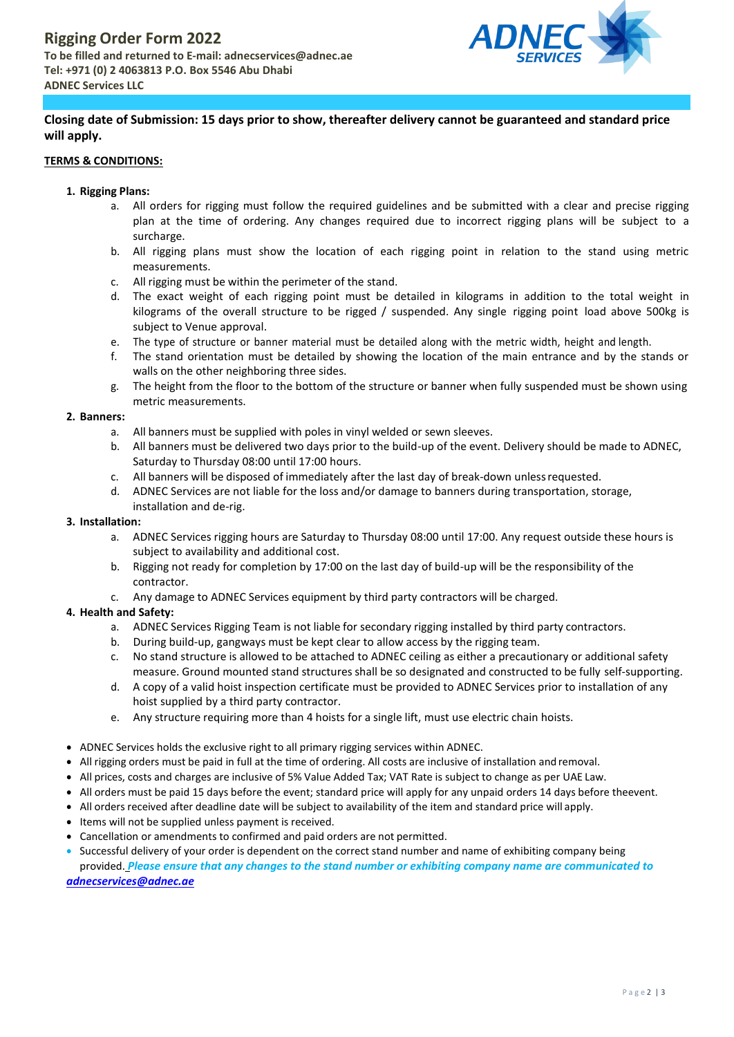

# **Closing date of Submission: 15 days prior to show, thereafter delivery cannot be guaranteed and standard price will apply.**

## **TERMS & CONDITIONS:**

#### **1. Rigging Plans:**

- a. All orders for rigging must follow the required guidelines and be submitted with a clear and precise rigging plan at the time of ordering. Any changes required due to incorrect rigging plans will be subject to a surcharge.
- b. All rigging plans must show the location of each rigging point in relation to the stand using metric measurements.
- c. All rigging must be within the perimeter of the stand.
- d. The exact weight of each rigging point must be detailed in kilograms in addition to the total weight in kilograms of the overall structure to be rigged / suspended. Any single rigging point load above 500kg is subject to Venue approval.
- e. The type of structure or banner material must be detailed along with the metric width, height and length.
- f. The stand orientation must be detailed by showing the location of the main entrance and by the stands or walls on the other neighboring three sides.
- g. The height from the floor to the bottom of the structure or banner when fully suspended must be shown using metric measurements.

#### **2. Banners:**

- a. All banners must be supplied with poles in vinyl welded or sewn sleeves.
- b. All banners must be delivered two days prior to the build-up of the event. Delivery should be made to ADNEC, Saturday to Thursday 08:00 until 17:00 hours.
- c. All banners will be disposed of immediately after the last day of break-down unlessrequested.
- d. ADNEC Services are not liable for the loss and/or damage to banners during transportation, storage, installation and de-rig.

#### **3. Installation:**

- a. ADNEC Services rigging hours are Saturday to Thursday 08:00 until 17:00. Any request outside these hours is subject to availability and additional cost.
- b. Rigging not ready for completion by 17:00 on the last day of build-up will be the responsibility of the contractor.
- c. Any damage to ADNEC Services equipment by third party contractors will be charged.

## **4. Health and Safety:**

- a. ADNEC Services Rigging Team is not liable for secondary rigging installed by third party contractors.
- b. During build-up, gangways must be kept clear to allow access by the rigging team.
- c. No stand structure is allowed to be attached to ADNEC ceiling as either a precautionary or additional safety measure. Ground mounted stand structures shall be so designated and constructed to be fully self-supporting.
- d. A copy of a valid hoist inspection certificate must be provided to ADNEC Services prior to installation of any hoist supplied by a third party contractor.
- e. Any structure requiring more than 4 hoists for a single lift, must use electric chain hoists.
- ADNEC Services holds the exclusive right to all primary rigging services within ADNEC.
- All rigging orders must be paid in full at the time of ordering. All costs are inclusive of installation and removal.
- All prices, costs and charges are inclusive of 5% Value Added Tax; VAT Rate is subject to change as per UAE Law.
- All orders must be paid 15 days before the event; standard price will apply for any unpaid orders 14 days before theevent.
- All orders received after deadline date will be subject to availability of the item and standard price will apply.
- Items will not be supplied unless payment is received.
- Cancellation or amendments to confirmed and paid orders are not permitted.
- Successful delivery of your order is dependent on the correct stand number and name of exhibiting company being provided. *Please ensure that any changes to the stand number or exhibiting company name are communicated to*

*[adnecservices@adnec.ae](mailto:adnecservices@adnec.ae)*